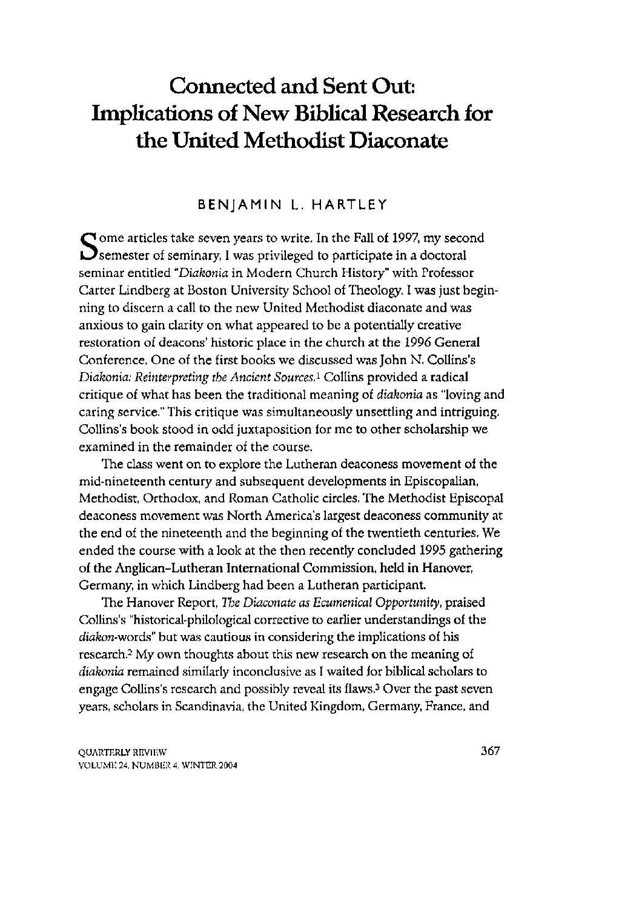# **Connected and Sent Out: Implications of New Biblical Research for the United Methodist Diaconate**

### BENJAMIN L. HARTLEY

Some articles take seven years to write. In the Fall of 1997, my second<br>Semester of seminary, I was privileged to participate in a doctoral  $\mathbf{\mathcal{D}}$  semester of seminary, I was privileged to participate in a doctoral seminar entitled "Diakonia in Modern Church History" with Professor Carter Lindberg at Boston University School of Theology. I was just beginning to discern a call to the new United Methodist diaconate and was anxious to gain clarity on what appeared to be a potentially creative restoration of deacons' historic place in the church at the 1996 General Conference. One of the first books we discussed was John N. Collins's *Diakonia: Reinterpreting the Ancient Sources,<sup>1</sup>* Collins provided a radical critique of what has been the traditional meaning of *diakonia* as "loving and caring service." This critique was simultaneously unsettling and intriguing. Collins's book stood in odd juxtaposition for me to other scholarship we examined in the remainder of the course.

The class went on to explore the Lutheran deaconess movement of the mid-nineteenth century and subsequent developments in Episcopalian, Methodist, Orthodox, and Roman Catholic circles. The Methodist Episcopal deaconess movement was North America's largest deaconess community at the end of the nineteenth and the beginning of the twentieth centuries. We ended the course with a look at the then recently concluded 1995 gathering of the Anglican-Lutheran International Commission, held in Hanover, Germany, in which Lindberg had been a Lutheran participant.

The Hanover Report, *The Diaconate as Ecumenical Opportunity,* praised Collins's "historical-philological corrective to earlier understandings of the diakon-words" but was cautious in considering the implications of his research.<sup>2</sup> My own thoughts about this new research on the meaning of *diakonia* remained similarly inconclusive as I waited for biblical scholars to engage Collins's research and possibly reveal its flaws. <sup>3</sup> Over the past seven years, scholars in Scandinavia, the United Kingdom, Germany, France, and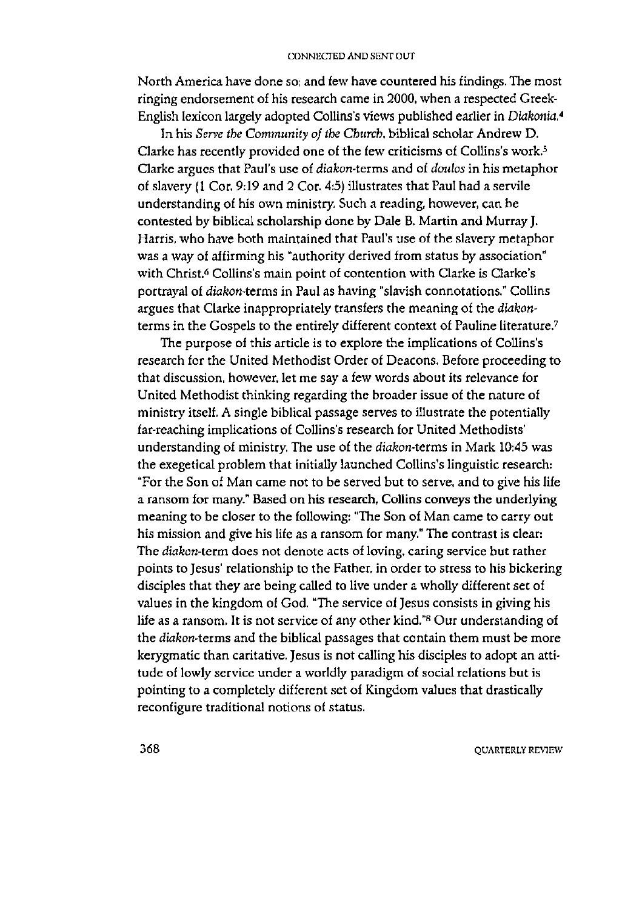North America have done so; and few have countered his findings. The most ringing endorsement of his research came in 2000, when a respected Greek-English lexicon largely adopted Collins's views published earlier in *Diakonia.<sup>4</sup>*

In his *Serve the Community of the Church* biblical scholar Andrew D. Clarke has recently provided one of the few criticisms of Collins's work.<sup>5</sup> Clarke argues that Paul's use of *diakon-terms* and of *doulos* in his metapho r of slavery (1 Cor. 9:19 and 2 Cor. 4:5) illustrates that Paul had a servile understanding of his own ministry. Such a reading, however, can be contested by biblical scholarship done by Dale B. Martin and Murray J. Harris, who have both maintained that Paul's use of the slavery metaphor was a way of affirming his "authority derived from status by association" with Christ.<sup>6</sup> Collins's main point of contention with Clarke is Clarke's portrayal of *diakon-terms* in Paul as having "slavish connotations." Collins argues that Clarke inappropriately transfers the meaning of the *diakon*terms in the Gospels to the entirely different context of Pauline literature.<sup>7</sup>

The purpose of this article is to explore the implications of Collins's research for the United Methodist Order of Deacons. Before proceeding to that discussion, however, let me say a few words about its relevance for United Methodist thinking regarding the broader issue of the nature of ministry itself. A single biblical passage serves to illustrate the potentially far-reaching implications of Collins's research for United Methodists' understanding of ministry. The use of the *diakon-terms* in Mark 10:45 was the exegetical problem that initially launched Collins's linguistic research: "For the Son of Man came not to be served but to serve, and to give his life a ransom for many." Based on his research, Collins conveys the underlying meaning to be closer to the following: "The Son of Man came to carry out his mission and give his life as a ransom for many." The contrast is clear: The *diakon*-term does not denote acts of loving, caring service but rather points to Jesus' relationship to the Father, in order to stress to his bickering disciples that they are being called to live under a wholly different set of values in the kingdom of God. "The service of Jesus consists in giving his life as a ransom. It is not service of any other kind "8 Our understanding of the diakon-terms and the biblical passages that contain them must be more kerygmatic than caritative. Jesus is not calling his disciples to adopt an attitude of lowly service under a worldly paradigm of social relations but is pointing to a completely different set of Kingdom values that drastically reconfigure traditional notions of status.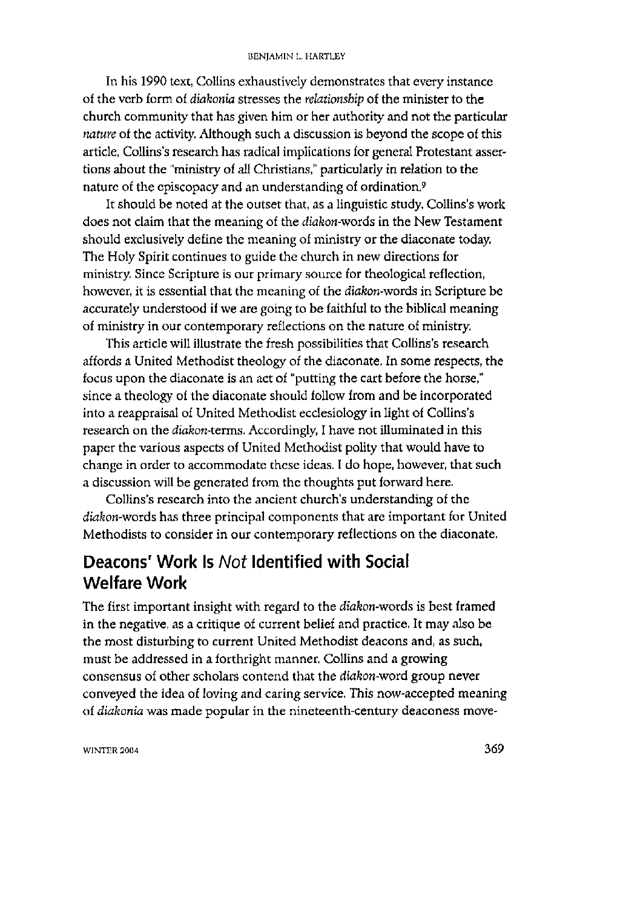#### BENJAMIN L. HARTLEY

In his 1990 text, Collins exhaustively demonstrates that every instance of the verb form of *diakonia* stresses the *relationship* of the minister to the church community that has given him or her authority and not the particular *nature* of the activity. Although such a discussion is beyond the scope of this article, Collins's research has radical implications for general Protestant assertions about the "ministry of all Christians," particularly in relation to the nature of the episcopacy and an understanding of ordination.<sup>9</sup>

It should be noted at the outset that, as a linguistic study, Collins's work does not claim that the meaning of the *diakon-woids* in the New Testament should exclusively define the meaning of ministry or the diaconate today. The Holy Spirit continues to guide the church in new directions for ministry. Since Scripture is our primary source for theological reflection, however, it is essential that the meaning of the *diakon-words* in Scripture be accurately understood if we are going to be faithful to the biblical meaning of ministry in our contemporary reflections on the nature of ministry,

This article will illustrate the fresh possibilities that Collins's research affords a United Methodist theology of the diaconate. In some respects, the focus upon the diaconate is an act of "putting the cart before the horse," since a theology of the diaconate should follow from and be incorporated into a reappraisal of United Methodist ecclesiology in light of Collins's research on the *diakon-terms.* Accordingly, I have not illuminated in this paper the various aspects of United Methodist polity that would have to change in order to accommodate these ideas. I do hope, however, that such a discussion will be generated from the thoughts put forward here.

Collins's research into the ancient church's understanding of the diakon-words has three principal components that are important for United Methodists to consider in our contemporary reflections on the diaconate.

# **Deacons' Work Is** *Not* **Identified with Social Welfare Work**

The first important insight with regard to the *diakon-words* is best framed in the negative, as a critique of current belief and practice. It may also be the most disturbing to current United Methodist deacons and, as such, must be addressed in a forthright manner. Collins and a growing consensus of other scholars contend that the *diakon-word* group never conveyed the idea of loving and caring service. This now-accepted meaning of *diakonia* was made popular in the nineteenth-century deaconess move-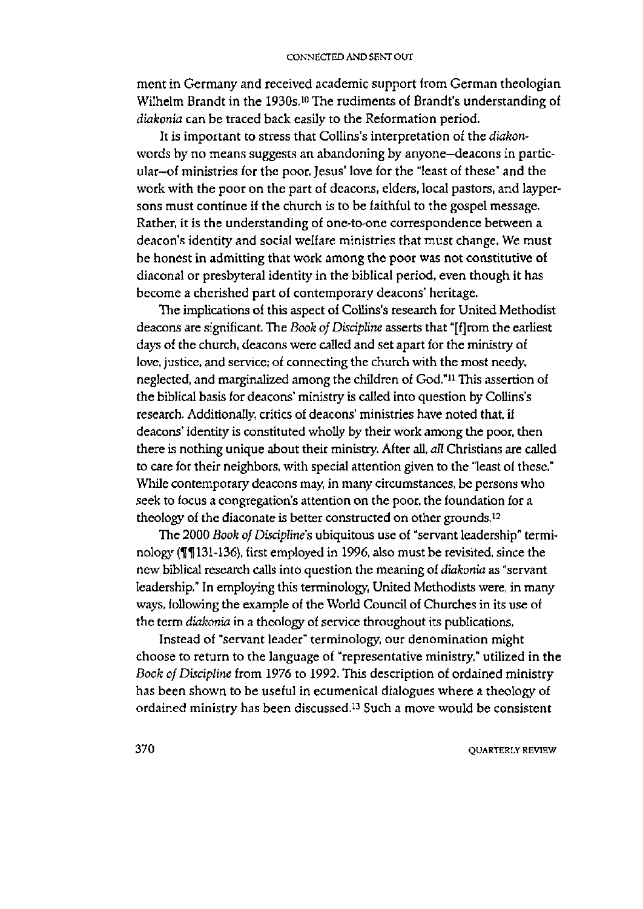ment in Germany and received academic support from German theologian Wilhelm Brandt in the 1930s.<sup>10</sup> The rudiments of Brandt's understanding of *diakonia* can be traced back easily to the Reformation period.

It is important to stress that Collins's interpretation of the *diakon*words by no means suggests an abandoning by anyone-deacons in particular-of ministries for the poor. Jesus' love for the "least of these" and the work with the poor on the part of deacons, elders, local pastors, and laypersons must continue if the church is to be faithful to the gospel message. Rather, it is the understanding of one-to-one correspondence between a deacon's identity and social welfare ministries that must change. We must be honest in admitting that work among the poor was not constitutive of diaconal or presbyteral identity in the biblical period, even though it has become a cherished part of contemporary deacons' heritage.

The implications of this aspect of Collins's research for United Methodist deacons are significant. The *Book of Discipline* asserts that "[f]rom the earliest days of the church, deacons were called and set apart for the ministry of love, justice, and service; of connecting the church with the most needy, neglected, and marginalized among the children of God."<sup>11</sup> This assertion of the biblical basis for deacons' ministry is called into question by Collins's research. Additionally, critics of deacons' ministries have noted that, if deacons' identity is constituted wholly by their work among the poor, then there is nothing unique about their ministry. After all, *all* Christians are called to care for their neighbors, with special attention given to the "least of these." While contemporary deacons may, in many circumstances, be persons who seek to focus a congregation's attention on the poor, the foundation for a theology of the diaconate is better constructed on other grounds.<sup>12</sup>

The 2000 *Book of Discipline's* ubiquitous use of "servant leadership" terminology (f 131-136), first employed in 1996, also must be revisited, since the n ew biblical research calls into question the meaning of *diakonia* as "servant leadership." In employing this terminology, United Methodists were, in many ways, following the example of the World Council of Churches in its use of the term *diakonia* in a theology of service throughout its publications.

Instead of "servant leader" terminology, our denomination might choose to return to the language of "representative ministry," utilized in the *Book of Discipline* from 1976 to 1992. This description of ordained ministry has been shown to be useful in ecumenical dialogues where a theology of ordained ministry has been discussed.<sup>13</sup> Such a move would be consistent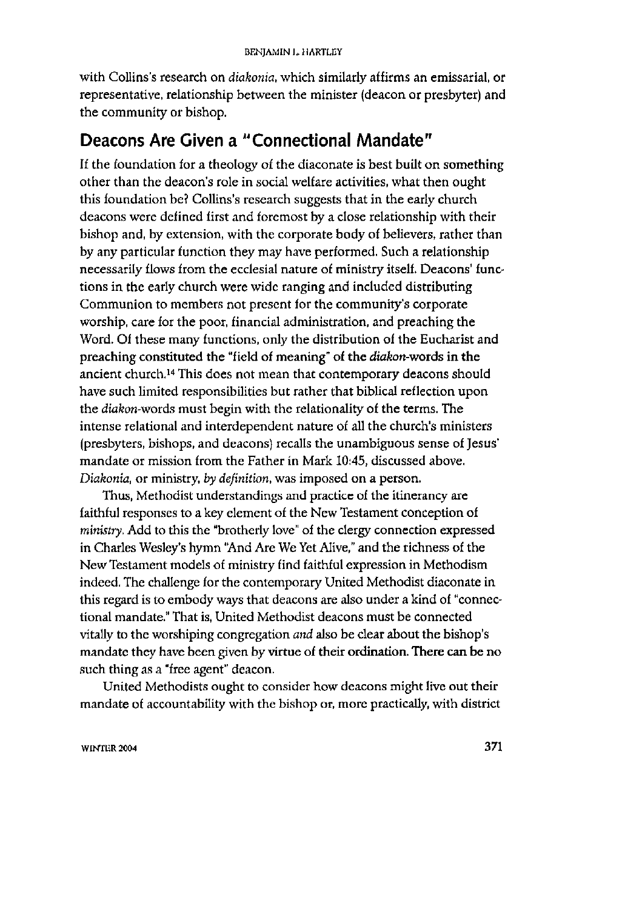with Collins's research on *diakonia,* which similarly affirms an emissarial, or representative, relationship between the minister (deacon or presbyter) and the community or bishop.

# **Deacons Are Given a "Connectional Mandate"**

If the foundation for a theology of the diaconate is best built on something other than the deacon's role in social welfare activities, what then ought this foundation be? Collins's research suggests that in the early church deacons were defined first and foremost by a close relationship with their bishop and, by extension, with the corporate body of believers, rather than by any particular function they may have performed. Such a relationship necessarily flows from the ecclesial nature of ministry itself. Deacons' functions in the early church were wide ranging and included distributing Communion to members not present for the community's corporate worship, care for the poor, financial administration, and preaching the Word. Of these many functions, only the distribution of the Eucharist and preaching constituted the "field of meaning" of the *diakon-words* in the ancient church. <sup>14</sup> This does not mean that contemporary deacons should have such limited responsibilities but rather that biblical reflection upon the *diakon-words* must begin with the relationality of the terms. The intense relational and interdependent nature of all the church's ministers (presbyters, bishops, and deacons) recalls the unambiguous sense of Jesus' mandate or mission from the Father in Mark 10:45, discussed above. *Diakonia*, or ministry, by definition, was imposed on a person.

Thus, Methodist understandings and practice of the itinerancy are faithful responses to a key element of the New Testament conception of *ministry, Add* to this the "brotherly love" of the clergy connection expressed in Charles Wesley's hymn "And Are We Yet Alive," and the richness of the New Testament models of ministry find faithful expression in Methodism indeed. The challenge for the contemporary United Methodist diaconate in this regard is to embody ways that deacons are also under a kind of "connectional mandate." That is, United Methodist deacons must be connected vitally to the worshiping congregation *and* also be clear about the bishop's mandate they have been given by virtue of their ordination. There can be no such thing as a "free agent" deacon.

United Methodists ought to consider how deacons might live out their mandate of accountability with the bishop or, more practically, with district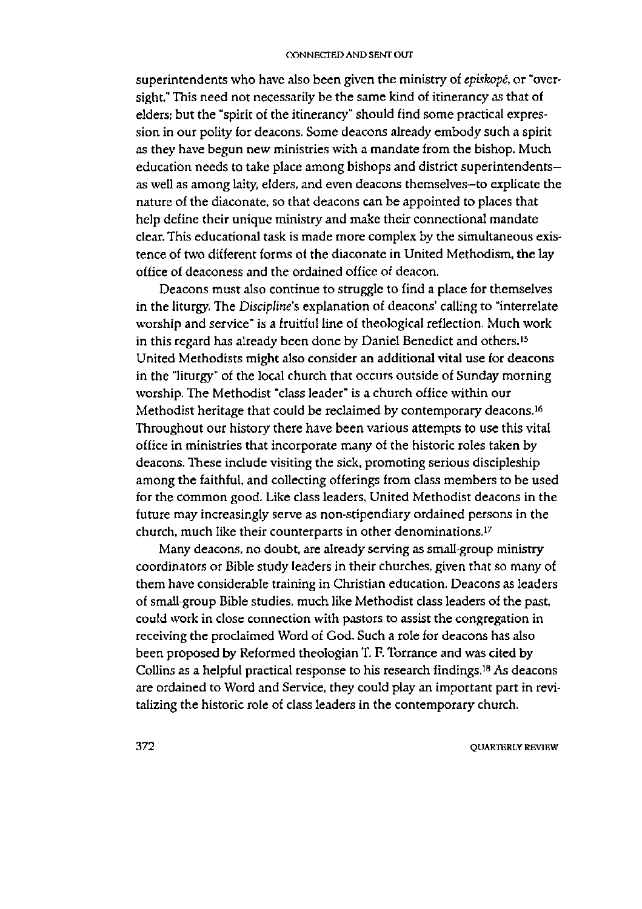superintendents who have also been given the ministry of *episkopé*, or "oversight." This need not necessarily be the same kind of itinerancy as that of elders; but the "spirit of the itinerancy" should find some practical expression in our polity for deacons. Some deacons already embody such a spirit as they have begun new ministries with a mandate from the bishop. Much education needs to take place among bishops and district superintendentsas well as among laity, elders, and even deacons themselves-to explicate the nature of the diaconate, so that deacons can be appointed to places that help define their unique ministry and make their connectional mandate clear. This educational task is made more complex by the simultaneous existence of two different forms of the diaconate in United Methodism, the lay office of deaconess and the ordained office of deacon.

Deacons must also continue to struggle to find a place for themselves in the liturgy. The *Discipline's* explanation of deacons' calling to "interrelate worship and service" is a fruitful line of theological reflection. Much work in this regard has already been done by Daniel Benedict and others.<sup>15</sup> United Methodists might also consider an additional vital use for deacons in the "liturgy" of the local church that occurs outside of Sunday morning worship. The Methodist "class leader" is a church office within our Methodist heritage that could be reclaimed by contemporary deacons.<sup>16</sup> Throughout our history there have been various attempts to use this vital office in ministries that incorporate many of the historic roles taken by deacons. These include visiting the sick, promoting serious discipleship among the faithful, and collecting offerings from class members to be used for the common good. Like class leaders, United Methodist deacons in the future may increasingly serve as non-stipendiary ordained persons in the church, much like their counterparts in other denominations.<sup>17</sup>

Many deacons, no doubt, are already serving as small-group ministry coordinators or Bible study leaders in their churches, given that so many of them have considerable training in Christian education. Deacons as leaders of small-group Bible studies, much like Methodist class leaders of the past, could work in close connection with pastors to assist the congregation in receiving the proclaimed Word of God. Such a role for deacons has also been proposed by Reformed theologian T. F. Torrance and was cited by Collins as a helpful practical response to his research findings.<sup>18</sup> As deacons are ordained to Word and Service, they could play an important part in revitalizing the historic role of class leaders in the contemporary church.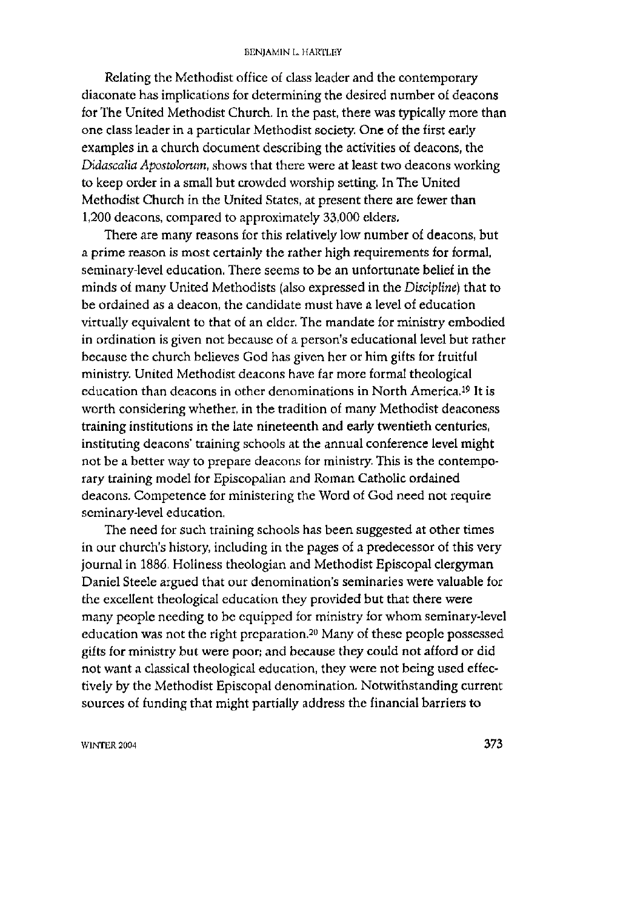#### BENJAMIN L. HARTLEY

Relating the Methodist office of class leader and the contemporary diaconate has implications for determining the desired number of deacons for The United Methodist Church. In the past, there was typically more than one class leader in a particular Methodist society. One of the first early examples in a church document describing the activities of deacons, the *Didascalia Apostolorum,* shows that there were at least two deacons working to keep order in a small but crowded worship setting. In The United Methodist Church in the United States, at present there are fewer than 1,200 deacons, compared to approximately 33,000 elders.

There are many reasons for this relatively low number of deacons, but a prime reason is most certainly the rather high requirements for formal, seminary-level education. There seems to be an unfortunate belief in the minds of many United Methodists (also expressed in the *Discipline)* that to be ordained as a deacon, the candidate must have a level of education virtually equivalent to that of an elder. The mandate for ministry embodied in ordination is given not because of a person's educational level but rather because the church believes God has given her or him gifts for fruitful ministry. United Methodist deacons have far more formal theological education than deacons in other denominations in North America.<sup>19</sup> It is worth considering whether, in the tradition of many Methodist deaconess training institutions in the late nineteenth and early twentieth centuries, instituting deacons' training schools at the annual conference level might not be a better way to prepare deacons for ministry. This is the contemporary training model for Episcopalian and Roman Catholic ordained deacons. Competence for ministering the Word of God need not require seminary-level education.

The need for such training schools has been suggested at other times in our church's history, including in the pages of a predecessor of this very journal in 1886. Holiness theologian and Methodist Episcopal clergyman Daniel Steele argued that our denomination's seminaries were valuable for the excellent theological education they provided but that there were many people needing to be equipped for ministry for whom seminary-level education was not the right preparation.<sup>20</sup> Many of these people possessed gifts for ministry but were poor; and because they could not afford or did not want a classical theological education, they were not being used effectively by the Methodist Episcopal denomination. Notwithstanding current sources of funding that might partially address the financial barriers to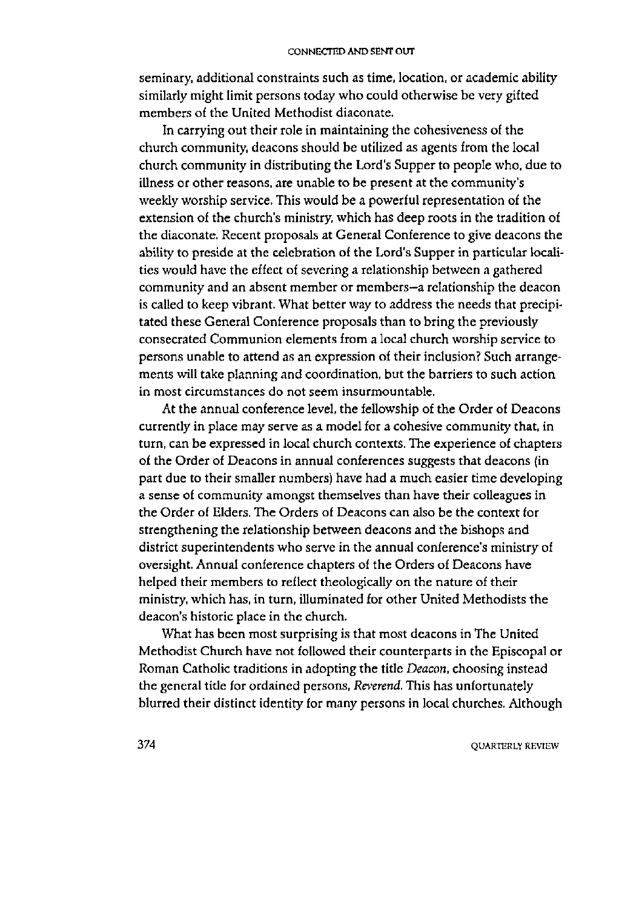seminary, additional constraints such as time, location, or academic ability similarly might limit persons today who could otherwise be very gifted members of the United Methodist diaconate.

In carrying out their role in maintaining the cohesiveness of the church community, deacons should be utilized as agents from the local church community in distributing the Lord's Supper to people who, due to illness or other reasons, are unable to be present at the community's weekly worship service. This would be a powerful representation of the extension of the church's ministry, which has deep roots in the tradition of the diaconate. Recent proposals at General Conference to give deacons the ability to preside at the celebration of the Lord's Supper in particular localities would have the effect of severing a relationship between a gathered community and an absent member or members-a relationship the deacon is called to keep vibrant. What better way to address the needs that precipitated these General Conference proposals than to bring the previously consecrated Communion elements from a local church worship service to persons unable to attend as an expression of their inclusion? Such arrangements will take planning and coordination, but the barriers to such action in most circumstances do not seem insurmountable.

At the annual conference level, the fellowship of the Order of Deacons currently in place may serve as a model for a cohesive community that, in turn, can be expressed in local church contexts. The experience of chapters of the Order of Deacons in annual conferences suggests that deacons (in part due to their smaller numbers) have had a much easier time developing a sense of community amongst themselves than have their colleagues in the Order of Elders. The Orders of Deacons can also be the context for strengthening the relationship between deacons and the bishops and district superintendents who serve in the annual conference's ministry of oversight. Annual conference chapters of the Orders of Deacons have helped their members to reflect theologically on the nature of their ministry, which has, in turn, illuminated for other United Methodists the deacon's historic place in the church.

What has been most surprising is that most deacons in The United Methodist Church have not followed their counterparts in the Episcopal or Roman Catholic traditions in adopting the title *Deacon*, choosing instead the general title for ordained persons, Reverend. This has unfortunately blurred their distinct identity for many persons in local churches. Although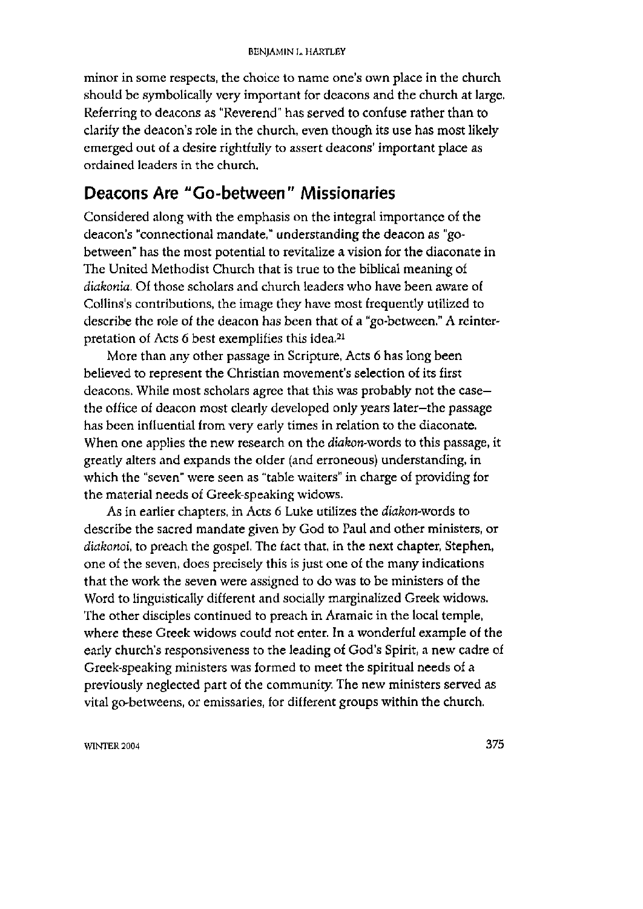minor in some respects, the choice to name one's own place in the church should be symbolically very important for deacons and the church at large. Referring to deacons as "Reverend" has served to confuse rather than to clarify the deacon's role in the church, even though its use has most likely emerged out of a desire rightfully to assert deacons' important place as ordained leaders in the church.

### **Deacons Are "Go-between" Missionaries**

Considered along with the emphasis on the integral importance of the deacon's "connectional mandate." understanding the deacon as "gobetween" has the most potential to revitalize a vision for the diaconate in The United Methodist Church that is true to the biblical meaning of *diakonia*. Of those scholars and church leaders who have been aware of Collins's contributions, the image they have most frequently utilized to describe the role of the deacon has been that of a "go-between." A reinterpretation of Acts 6 best exemplifies this idea.<sup>21</sup>

More than any other passage in Scripture, Acts 6 has long been believed to represent the Christian movement's selection of its first deacons. While most scholars agree that this was probably not the case the office of deacon most clearly developed only years later-the passage has been influential from very early times in relation to the diaconate. When one applies the new research on the *diakon-words* to this passage, it greatly alters and expands the older (and erroneous) understanding, in which the "seven" were seen as "table waiters" in charge of providing for the material needs of Greek-speaking widows.

As in earlier chapters, in Acts 6 Luke utilizes the diakon-words to describe the sacred mandate given by God to Paul and other ministers, or *diakonoi,* to preach the gospel. The fact that, in the next chapter, Stephen, one of the seven, does precisely this is just one of the many indications that the work the seven were assigned to do was to be ministers of the Word to linguistically different and socially marginalized Greek widows. The other disciples continued to preach in Aramaic in the local temple, where these Greek widows could not enter. In a wonderful example of the early church's responsiveness to the leading of God's Spirit, a new cadre of Greek-speaking ministers was formed to mee t the spiritual needs of a previously neglected part of the community. The new ministers served as vital go-betweens, or emissaries, for different groups within the church.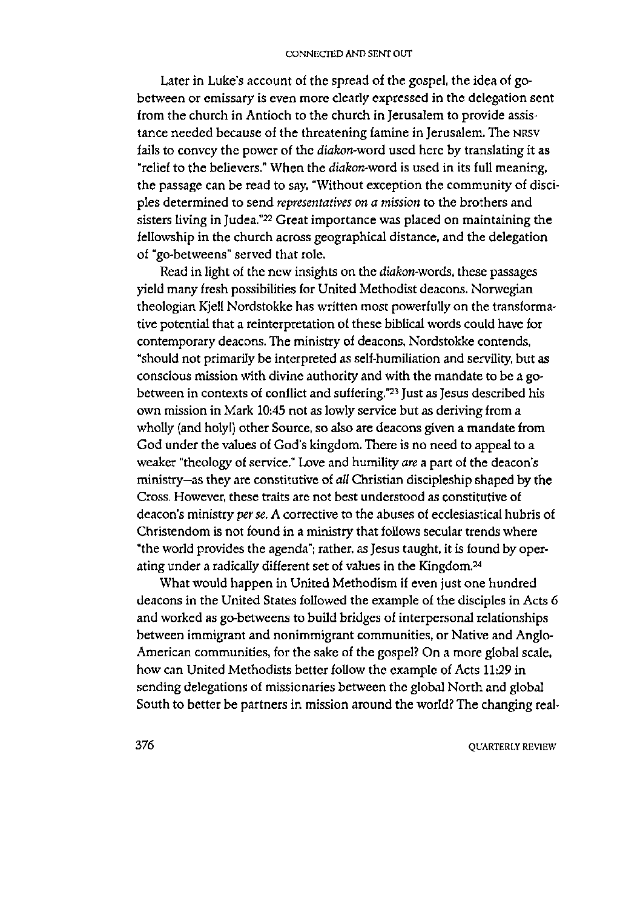Later in Luke's account of the spread of the gospel, the idea of gobetween or emissary is even more clearly expressed in the delegation sent from the church in Antioch to the church in Jerusalem to provide assistance needed because of the threatening famine in Jerusalem. The NRSV fails to convey the power of the *diakon-word* used here by translating it as "relief to the believers." When the *diakon-word* is used in its full meaning, the passage can be read to say, "Without exception the community of disciples determined to send *representatives on a mission* to the brothers and sisters living in Judea." $22$  Great importance was placed on maintaining the fellowship in the church across geographical distance, and the delegation of "go-betweens" served that role.

Read in light of the new insights on the *diakon-words,* these passages yield many fresh possibilities for United Methodist deacons. Norwegian theologian Kjell Nordstokke has written most powerfully on the transformative potential that a reinterpretation of these biblical words could have for contemporary deacons. The ministry of deacons, Nordstokke contends, "should not primarily be interpreted as self-humiliation and servility, but as conscious mission with divine authority and with the mandate to be a gobetween in contexts of conflict and suffering."<sup>23</sup> Just as Jesus described his own mission in Mark 10:45 not as lowly service but as deriving from a wholly (and holy!) other Source, so also are deacons given a mandate from God under the values of God's kingdom. There is no need to appeal to a weaker "theology of service." Love and humility *are* a part of the deacon's ministry—as they are constitutive of *all* Christian discipleship shaped by the Cross. However, these traits are not best understood as constitutive of deacon's ministry *per se.* A corrective to the abuses of ecclesiastical hubris of Christendom is not found in a ministry that follows secular trends where "the world provides the agenda"; rather, as Jesus taught, it is found by operating under a radically different set of values in the Kingdom.<sup>24</sup>

What would happen in United Methodism if even just one hundred deacons in the United States followed the example of the disciples in Acts 6 and worked as go-betweens to build bridges of interpersonal relationships between immigrant and nonimmigrant communities, or Native and Anglo-American communities, for the sake of the gospel? On a more global scale, how can United Methodists better follow the example of Acts 11:29 in sending delegations of missionaries between the global North and global South to better be partners in mission around the world? The changing real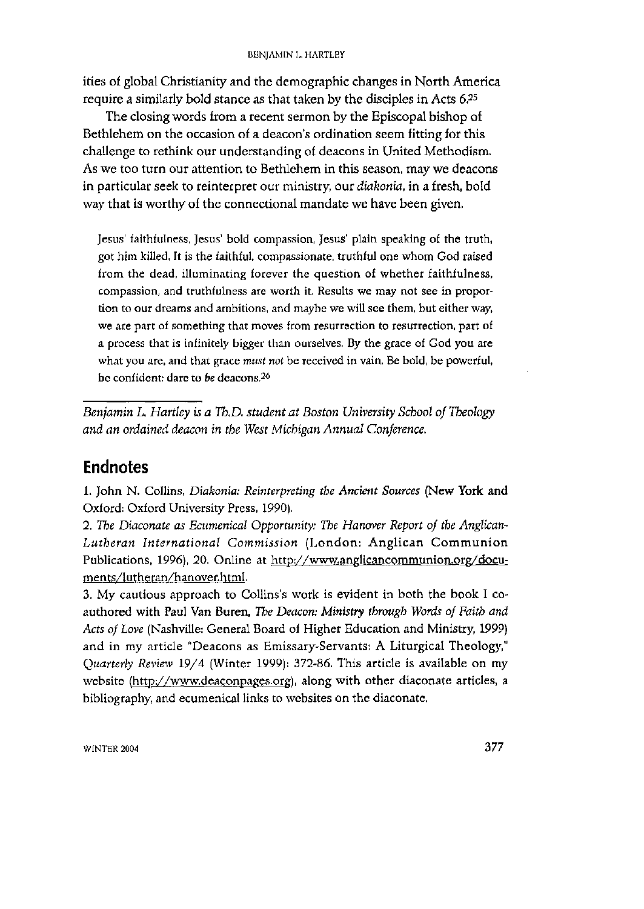ities of global Christianity and the demographic changes in North America require a similarly bold stance as that taken by the disciples in Acts 6.25

The closing words from a recent sermon by the Episcopal bishop of Bethlehem on the occasion of a deacon's ordination seem fitting for this challenge to rethink our understanding of deacons in United Methodism. As we too turn our attention to Bethlehem in this season, may we deacons in particular seek to reinterpret our ministry, our *diakonia,* in a fresh, bold way that is worthy of the connectional mandate we have been given.

Jesus' faithfulness, Jesus' bold compassion, Jesus' plain speaking of the truth, got him killed. It is the faithful, compassionate, truthful one whom God raised from the dead, illuminating forever the question of whether faithfulness, compassion, and truthfulness are worth it. Results we may not see in proportion to our dreams and ambitions, and maybe we will see them, but either way, we are part of something that moves from resurrection to resurrection, part of a process that is infinitely bigger than ourselves. By the grace of God you are what you are, and that grace *must not* be received in vain, Be bold, be powerful, be confident: dare to be deacons.<sup>26</sup>

*Benjamin L. Hartley is a Th.D. student at Boston University School of Theology and an ordained deacon in the West Michigan Annual Conference,* 

### **Endnotes**

1. John N. Collins, Diakonia: Reinterpreting the Ancient Sources (New York and Oxford: Oxford University Press, 1990).

2. *The Diaconate as Ecumenical Opportunity: The Hanover Report of the Anglican-*Lutheran International Commission (London: Anglican Communion Publications, 1996), 20. Online at [http://www.anglicancommunion.org/docu](http://www.anglicancommunion.org/docu-)ments/lutheran/hanover.html.

3. My cautious approach to Collins's work is evident in both the book I coauthored with Paul Van Buren, *The Deacon: Ministry through Words of Faith and Acts of Love* (Nashville: General Board of Higher Education and Ministry, 1999) and in my article "Deacons as Emissary-Servants: A Liturgical Theology," *Quarterly Review* 19/4 (Winter 1999): 372-86. This article is available on my website ([http://www.deaconpages.org\)](http://www.deaconpages.org), along with other diaconate articles, a bibliography, and ecumenical links to websites on the diaconate.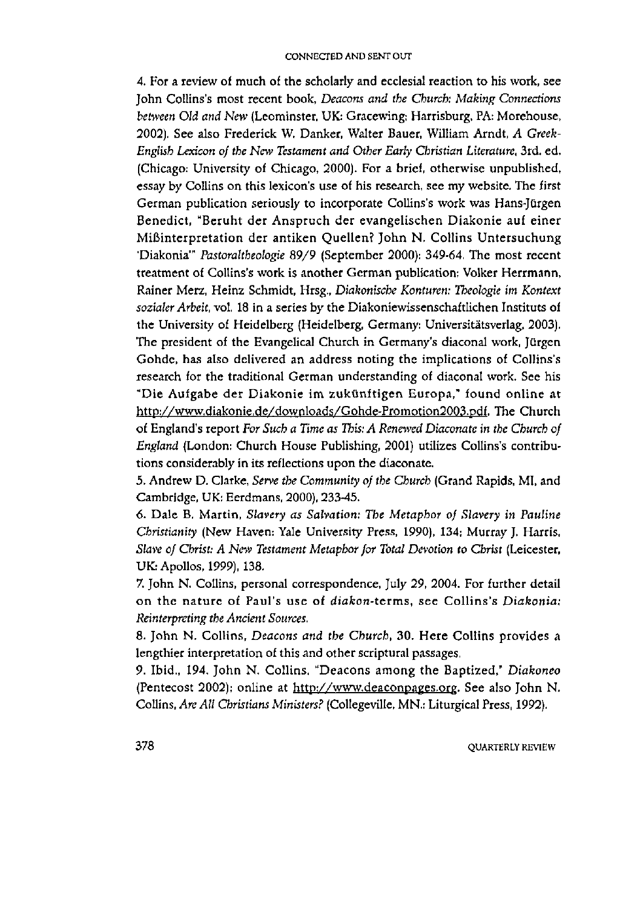4. For a review of much of the scholarly and ecclesial reaction to his work, see John Collins's most recent book, *Deacons and the Church: Making Connections between Old and New* (Leominster, UK: Gracewing; Harrisburg, PA: Morehouse, 2002). See also Frederick W, Danker, Walter Bauer, William Arndt, *A Greek-English Lexicon of the New Testament and Other Early Christian Literature,* 3rd. ed. (Chicago: University of Chicago, 2000). For a brief, otherwise unpublished, essay by Collins on this lexicon's use of his research, see my website. The first German publication seriously to incorporate Collins's work was Hans-Jürgen Benedict, "Beruht der Anspruch der evangelischen Diakonie auf einer Mißinterpretation der antiken Quellen? John N. Collins Untersuchung 'Diakonia'" Pastoraltheologie 89/9 (September 2000): 349-64. The most recent treatment of Collins's work is another German publication: Volker Herrmann, Rainer Merz, Heinz Schmidt, Hrsg., *Diakonische Konturen: Theologie im Kontext sozialer Arbeit,* vol. 18 in a series by the Diakoniewissenschaftlichen Instituts of the University of Heidelberg (Heidelberg, Germany: Universitatsverlag, 2003). The president of the Evangelical Church in Germany's diaconal work, Jürgen Gohde, has also delivered an address noting the implications of Collins's research for the traditional German understanding of diaconal work. See his "Die Aufgabe der Diakonie im zukünftigen Europa," found online at [http://www.diakonie.de/downloads/Gohde-Promotion2003.pdf.](http://www.diakonie.de/downloads/Gohde-Promotion2003.pdf) The Church of England's report *For Such a Time as This: A Renewed Diaconate in the Church of England* (London: Church House Publishing, 2001) utilizes Collins's contributions considerably in its reflections upon the diaconate.

5. Andrew D. Clarke, *Serve the Community of the Church* (Grand Rapids, MI, and Cambridge, UK: Eerdmans, 2000), 233-45.

6. Dale B. Martin, *Slavery as Salvation: The Metaphor of Slavery in Pauline Christianity* (New Haven: Yale University Press, 1990), 134; Murray J. Harris, *Slave of Christ: A New Testament Metaphor for Total Devotion to Christ* (Leicester, UK: Apollos, 1999), 138.

7. John N. Collins, personal correspondence, July 29, 2004. For further detail on the nature of Paul's use of *diakon*-terms, see Collins's Diakonia: *Reinterpreting the Ancient Sources.* 

8. John N. Collins, *Deacons and the Church*, 30. Here Collins provides a lengthier interpretation of this and other scriptural passages.

9. Ibid., 194. John N. Collins, "Deacons among the Baptized," Diakoneo (Pentecost 2002); online at [http://www.deaconpages.org.](http://www.deaconpages.org) See also John N. Collins, *Are All Christians Ministers?* (Collegeville, MR : Liturgical Press, 1992).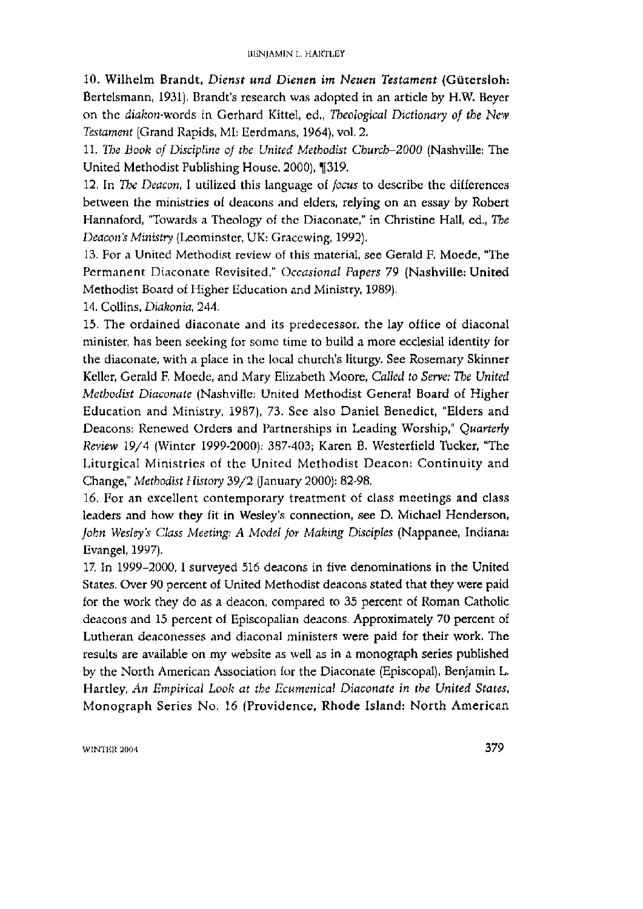10. Wilhelm Brandt, *Dienst und Dienen im Neuen Testament* (Gutersloh: Bertelsmann, 1931). Brandt's research was adopted in an article by H.W. Beyer on the diafeon-words in Gerhard Kittel, ed., *Theological Dictionary of the New Testament* (Grand Rapids, MI: Eerdmans, 1964), vol. 2.

11. *The Book of Discipline of the United Methodist Church-2000* (Nashville: The United Methodist Publishing House, 2000), [319.

12. In *The Deacon,* I utilized this language of *focus* to describe the differences between the ministries of deacons and elders, relying on an essay by Robert Hannaford, "Towards a Theology of the Diaconate," in Christine Hall, ed., *The Deacon's Ministry* (Leominster, UK: Gracewing, 1992).

13. For a United Methodist review of this material, see Gerald F. Moede, "The Permanent Diaconate Revisited," Occasional Papers 79 (Nashville: United Methodist Board of Higher Education and Ministry, 1989).

14. Collins, *Diakonia,* 244.

15. The ordained diaconate and its predecessor, the lay office of diaconal minister, has been seeking for some time to build a more ecclesial identity for the diaconate, with a place in the local church's liturgy. See Rosemary Skinner Keller, Gerald F, Moede, and Mary Elizabeth Moore, *Called to Serve: The United Methodist Diaconate* (Nashville: United Methodist General Board of Higher Education and Ministry, 1987), 73. See also Daniel Benedict, "Elders and Deacons: Renewed Orders and Partnerships in Leading Worship," *Quarterly Review 19/4* (Winter 1999-2000): 387-403; Karen B. Westerfield Tucker, "The Liturgical Ministries of the United Methodist Deacon: Continuity and Change," *Methodist History* 39/2 (January 2000): 82-98,

16. For an excellent contemporary treatment of class meetings and class leaders and how they fit in Wesley's connection, see D. Michael Henderson, *John Wesley's Class Meeting: A Model for Making Disciples* (Nappanee, Indiana: Evangel, 1997).

17. In 1999-2000, I surveyed 516 deacons in five denominations in the United States. Over 90 percent of United Methodist deacons stated that they were paid for the work they do as a deacon, compared to 35 percent of Roman Catholic deacons and 15 percent of Episcopalian deacons. Approximately 70 percent of Lutheran deaconesses and diaconal ministers were paid for their work. The results are available on my website as well as in a monograph series published by the North American Association for the Diaconate (Episcopal). Benjamin L. Hartley, *An Empirical Look at the Ecumenical Diaconate in the United States,*  Monograph Series No. 16 (Providence, Rhode Island: North American